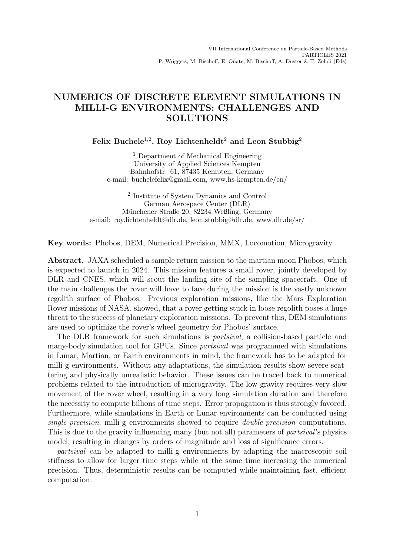# NUMERICS OF DISCRETE ELEMENT SIMULATIONS IN MILLI-G ENVIRONMENTS: CHALLENGES AND SOLUTIONS

Felix Buchele<sup>1,2</sup>, Roy Lichtenheldt<sup>2</sup> and Leon Stubbig<sup>2</sup>

<sup>1</sup> Department of Mechanical Engineering University of Applied Sciences Kempten Bahnhofstr. 61, 87435 Kempten, Germany e-mail: buchelefelix@gmail.com, www.hs-kempten.de/en/

2 Institute of System Dynamics and Control German Aerospace Center (DLR) Münchener Straße 20, 82234 Weßling, Germany e-mail: roy.lichtenheldt@dlr.de, leon.stubbig@dlr.de, www.dlr.de/sr/

Key words: Phobos, DEM, Numerical Precision, MMX, Locomotion, Microgravity

Abstract. JAXA scheduled a sample return mission to the martian moon Phobos, which is expected to launch in 2024. This mission features a small rover, jointly developed by DLR and CNES, which will scout the landing site of the sampling spacecraft. One of the main challenges the rover will have to face during the mission is the vastly unknown regolith surface of Phobos. Previous exploration missions, like the Mars Exploration Rover missions of NASA, showed, that a rover getting stuck in loose regolith poses a huge threat to the success of planetary exploration missions. To prevent this, DEM simulations are used to optimize the rover's wheel geometry for Phobos' surface.

The DLR framework for such simulations is partsival, a collision-based particle and many-body simulation tool for GPUs. Since partsival was programmed with simulations in Lunar, Martian, or Earth environments in mind, the framework has to be adapted for milli-g environments. Without any adaptations, the simulation results show severe scattering and physically unrealistic behavior. These issues can be traced back to numerical problems related to the introduction of microgravity. The low gravity requires very slow movement of the rover wheel, resulting in a very long simulation duration and therefore the necessity to compute billions of time steps. Error propagation is thus strongly favored. Furthermore, while simulations in Earth or Lunar environments can be conducted using single-precision, milli-g environments showed to require double-precision computations. This is due to the gravity influencing many (but not all) parameters of partsival's physics model, resulting in changes by orders of magnitude and loss of significance errors.

partsival can be adapted to milli-g environments by adapting the macroscopic soil stiffness to allow for larger time steps while at the same time increasing the numerical precision. Thus, deterministic results can be computed while maintaining fast, efficient computation.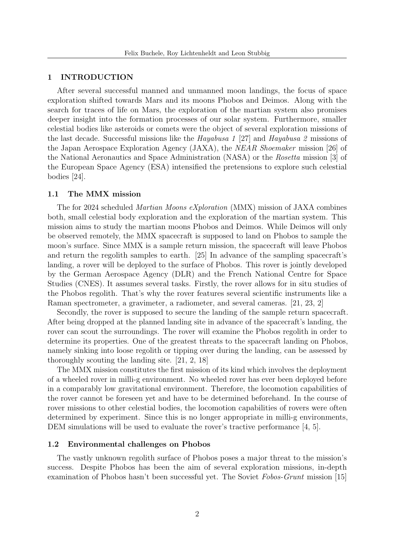## 1 INTRODUCTION

After several successful manned and unmanned moon landings, the focus of space exploration shifted towards Mars and its moons Phobos and Deimos. Along with the search for traces of life on Mars, the exploration of the martian system also promises deeper insight into the formation processes of our solar system. Furthermore, smaller celestial bodies like asteroids or comets were the object of several exploration missions of the last decade. Successful missions like the Hayabusa 1 [27] and Hayabusa 2 missions of the Japan Aerospace Exploration Agency (JAXA), the NEAR Shoemaker mission [26] of the National Aeronautics and Space Administration (NASA) or the Rosetta mission [3] of the European Space Agency (ESA) intensified the pretensions to explore such celestial bodies [24].

## 1.1 The MMX mission

The for 2024 scheduled Martian Moons eXploration (MMX) mission of JAXA combines both, small celestial body exploration and the exploration of the martian system. This mission aims to study the martian moons Phobos and Deimos. While Deimos will only be observed remotely, the MMX spacecraft is supposed to land on Phobos to sample the moon's surface. Since MMX is a sample return mission, the spacecraft will leave Phobos and return the regolith samples to earth. [25] In advance of the sampling spacecraft's landing, a rover will be deployed to the surface of Phobos. This rover is jointly developed by the German Aerospace Agency (DLR) and the French National Centre for Space Studies (CNES). It assumes several tasks. Firstly, the rover allows for in situ studies of the Phobos regolith. That's why the rover features several scientific instruments like a Raman spectrometer, a gravimeter, a radiometer, and several cameras. [21, 23, 2]

Secondly, the rover is supposed to secure the landing of the sample return spacecraft. After being dropped at the planned landing site in advance of the spacecraft's landing, the rover can scout the surroundings. The rover will examine the Phobos regolith in order to determine its properties. One of the greatest threats to the spacecraft landing on Phobos, namely sinking into loose regolith or tipping over during the landing, can be assessed by thoroughly scouting the landing site. [21, 2, 18]

The MMX mission constitutes the first mission of its kind which involves the deployment of a wheeled rover in milli-g environment. No wheeled rover has ever been deployed before in a comparably low gravitational environment. Therefore, the locomotion capabilities of the rover cannot be foreseen yet and have to be determined beforehand. In the course of rover missions to other celestial bodies, the locomotion capabilities of rovers were often determined by experiment. Since this is no longer appropriate in milli-g environments, DEM simulations will be used to evaluate the rover's tractive performance [4, 5].

#### 1.2 Environmental challenges on Phobos

The vastly unknown regolith surface of Phobos poses a major threat to the mission's success. Despite Phobos has been the aim of several exploration missions, in-depth examination of Phobos hasn't been successful yet. The Soviet Fobos-Grunt mission [15]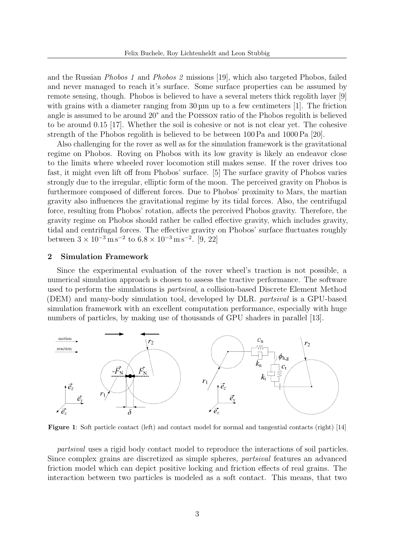and the Russian Phobos 1 and Phobos 2 missions [19], which also targeted Phobos, failed and never managed to reach it's surface. Some surface properties can be assumed by remote sensing, though. Phobos is believed to have a several meters thick regolith layer [9] with grains with a diameter ranging from 30 µm up to a few centimeters [1]. The friction angle is assumed to be around 20° and the Poisson ratio of the Phobos regolith is believed to be around 0.15 [17]. Whether the soil is cohesive or not is not clear yet. The cohesive strength of the Phobos regolith is believed to be between 100 Pa and 1000 Pa [20].

Also challenging for the rover as well as for the simulation framework is the gravitational regime on Phobos. Roving on Phobos with its low gravity is likely an endeavor close to the limits where wheeled rover locomotion still makes sense. If the rover drives too fast, it might even lift off from Phobos' surface. [5] The surface gravity of Phobos varies strongly due to the irregular, elliptic form of the moon. The perceived gravity on Phobos is furthermore composed of different forces. Due to Phobos' proximity to Mars, the martian gravity also influences the gravitational regime by its tidal forces. Also, the centrifugal force, resulting from Phobos' rotation, affects the perceived Phobos gravity. Therefore, the gravity regime on Phobos should rather be called effective gravity, which includes gravity, tidal and centrifugal forces. The effective gravity on Phobos' surface fluctuates roughly between  $3 \times 10^{-3}$  m s<sup>-2</sup> to  $6.8 \times 10^{-3}$  m s<sup>-2</sup>. [9, 22]

## 2 Simulation Framework

Since the experimental evaluation of the rover wheel's traction is not possible, a numerical simulation approach is chosen to assess the tractive performance. The software used to perform the simulations is *partsival*, a collision-based Discrete Element Method (DEM) and many-body simulation tool, developed by DLR. partsival is a GPU-based simulation framework with an excellent computation performance, especially with huge numbers of particles, by making use of thousands of GPU shaders in parallel [13].



Figure 1: Soft particle contact (left) and contact model for normal and tangential contacts (right) [14]

partsival uses a rigid body contact model to reproduce the interactions of soil particles. Since complex grains are discretized as simple spheres, partsival features an advanced friction model which can depict positive locking and friction effects of real grains. The interaction between two particles is modeled as a soft contact. This means, that two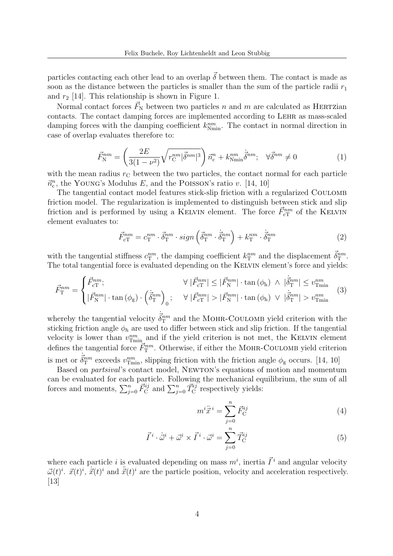particles contacting each other lead to an overlap  $\vec{\delta}$  between them. The contact is made as soon as the distance between the particles is smaller than the sum of the particle radii  $r_1$ and  $r_2$  [14]. This relationship is shown in Figure 1.

Normal contact forces  $\vec{F}_{N}$  between two particles n and m are calculated as HERTZian contacts. The contact damping forces are implemented according to Lehr as mass-scaled damping forces with the damping coefficient  $k_{\text{Nmin}}^{nm}$ . The contact in normal direction in case of overlap evaluates therefore to:

$$
\vec{F}_{\rm N}^{nm} = \left(\frac{2E}{3(1-\nu^2)}\sqrt{r_{\rm C}^{nm}|\vec{\delta}^{nm}|^3}\right)\vec{n}_{\rm c}^n + k_{\rm Nmin}^{nm}\dot{\vec{\delta}}^{nm}; \quad \forall \vec{\delta}^{nm} \neq 0 \tag{1}
$$

with the mean radius  $r<sub>C</sub>$  between the two particles, the contact normal for each particle  $\vec{n}_c^n$ , the YOUNG's Modulus E, and the POISSON's ratio v. [14, 10]

The tangential contact model features stick-slip friction with a regularized Coulomb friction model. The regularization is implemented to distinguish between stick and slip friction and is performed by using a KELVIN element. The force  $\vec{F}_{\text{cT}}^{nm}$  of the KELVIN element evaluates to:

$$
\vec{F}_{\text{cT}}^{nm} = c_{\text{T}}^{nm} \cdot \vec{\delta}_{\text{T}}^{nm} \cdot sign\left(\vec{\delta}_{\text{T}}^{nm} \cdot \vec{\delta}_{\text{T}}^{nm}\right) + k_{\text{T}}^{nm} \cdot \vec{\delta}_{\text{T}}^{nm} \tag{2}
$$

with the tangential stiffness  $c_T^{nm}$ , the damping coefficient  $k_T^{nm}$  and the displacement  $\vec{\delta}_T^{nm}$ . The total tangential force is evaluated depending on the KELVIN element's force and yields:

$$
\vec{F}_{\rm T}^{nm} = \begin{cases} \vec{F}_{\rm CT}^{nm}; & \forall |\vec{F}_{\rm CT}^{nm}| \leq |\vec{F}_{\rm N}^{nm}| \cdot \tan(\phi_{\rm h}) \land |\vec{\delta}_{\rm T}^{nm}| \leq v_{\rm Tmin}^{nm} \\ |\vec{F}_{\rm N}^{nm}| \cdot \tan(\phi_{\rm g}) \cdot (\vec{\delta}_{\rm T}^{nm})_0; & \forall |\vec{F}_{\rm CT}^{nm}| > |\vec{F}_{\rm N}^{nm}| \cdot \tan(\phi_{\rm h}) \lor |\vec{\delta}_{\rm T}^{nm}| > v_{\rm Tmin}^{nm} \end{cases} (3)
$$

whereby the tangential velocity  $\dot{\vec{\delta}}_T^{nm}$  and the MOHR-COULOMB yield criterion with the sticking friction angle  $\phi_h$  are used to differ between stick and slip friction. If the tangential velocity is lower than  $v^{nm}_{\text{Tmin}}$  and if the yield criterion is not met, the KELVIN element defines the tangential force  $\vec{F}_{\rm T}^{nm}$ . Otherwise, if either the MOHR-COULOMB yield criterion is met or  $\dot{\delta}_{\rm T}^{nm}$  exceeds  $v_{\rm Tmin}^{nm}$ , slipping friction with the friction angle  $\phi_{\rm g}$  occurs. [14, 10]

Based on partsival's contact model, Newton's equations of motion and momentum can be evaluated for each particle. Following the mechanical equilibrium, the sum of all forces and moments,  $\sum_{j=0}^{n} \vec{F}_{\text{C}}^{ij}$  and  $\sum_{j=0}^{n} \vec{T}_{\text{C}}^{ij}$  respectively yields:

$$
m^{i}\ddot{\vec{x}}^{i} = \sum_{j=0}^{n} \vec{F}_{\mathrm{C}}^{ij} \tag{4}
$$

$$
\vec{I}^i \cdot \dot{\vec{\omega}}^i + \vec{\omega}^i \times \vec{I}^i \cdot \vec{\omega}^i = \sum_{j=0}^n \vec{T}_{\text{C}}^{ij} \tag{5}
$$

where each particle *i* is evaluated depending on mass  $m^i$ , inertia  $\vec{I}^i$  and angular velocity  $\vec{\omega}(t)^i$ .  $\vec{x}(t)^i$ ,  $\dot{\vec{x}}(t)^i$  and  $\ddot{\vec{x}}(t)^i$  are the particle position, velocity and acceleration respectively. [13]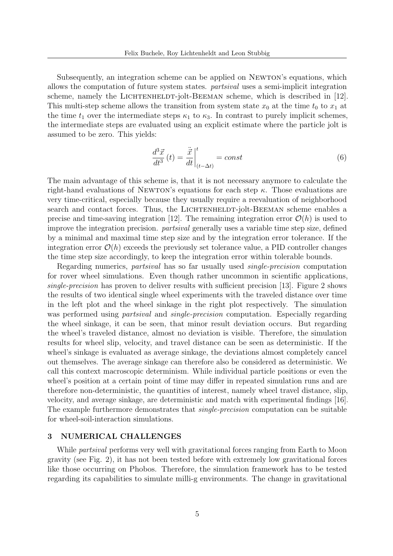Subsequently, an integration scheme can be applied on Newton's equations, which allows the computation of future system states. partsival uses a semi-implicit integration scheme, namely the LICHTENHELDT-jolt-BEEMAN scheme, which is described in [12]. This multi-step scheme allows the transition from system state  $x_0$  at the time  $t_0$  to  $x_1$  at the time  $t_1$  over the intermediate steps  $\kappa_1$  to  $\kappa_3$ . In contrast to purely implicit schemes, the intermediate steps are evaluated using an explicit estimate where the particle jolt is assumed to be zero. This yields:

$$
\frac{d^3\vec{x}}{dt^3}(t) = \frac{\ddot{\vec{x}}}{dt}\Big|_{(t-\Delta t)}^t = const
$$
\n(6)

The main advantage of this scheme is, that it is not necessary anymore to calculate the right-hand evaluations of NEWTON's equations for each step  $\kappa$ . Those evaluations are very time-critical, especially because they usually require a reevaluation of neighborhood search and contact forces. Thus, the LICHTENHELDT-jolt-BEEMAN scheme enables a precise and time-saving integration [12]. The remaining integration error  $\mathcal{O}(h)$  is used to improve the integration precision. partsival generally uses a variable time step size, defined by a minimal and maximal time step size and by the integration error tolerance. If the integration error  $\mathcal{O}(h)$  exceeds the previously set tolerance value, a PID controller changes the time step size accordingly, to keep the integration error within tolerable bounds.

Regarding numerics, partsival has so far usually used single-precision computation for rover wheel simulations. Even though rather uncommon in scientific applications, single-precision has proven to deliver results with sufficient precision [13]. Figure 2 shows the results of two identical single wheel experiments with the traveled distance over time in the left plot and the wheel sinkage in the right plot respectively. The simulation was performed using *partsival* and *single-precision* computation. Especially regarding the wheel sinkage, it can be seen, that minor result deviation occurs. But regarding the wheel's traveled distance, almost no deviation is visible. Therefore, the simulation results for wheel slip, velocity, and travel distance can be seen as deterministic. If the wheel's sinkage is evaluated as average sinkage, the deviations almost completely cancel out themselves. The average sinkage can therefore also be considered as deterministic. We call this context macroscopic determinism. While individual particle positions or even the wheel's position at a certain point of time may differ in repeated simulation runs and are therefore non-deterministic, the quantities of interest, namely wheel travel distance, slip, velocity, and average sinkage, are deterministic and match with experimental findings [16]. The example furthermore demonstrates that *single-precision* computation can be suitable for wheel-soil-interaction simulations.

## 3 NUMERICAL CHALLENGES

While *partsival* performs very well with gravitational forces ranging from Earth to Moon gravity (see Fig. 2), it has not been tested before with extremely low gravitational forces like those occurring on Phobos. Therefore, the simulation framework has to be tested regarding its capabilities to simulate milli-g environments. The change in gravitational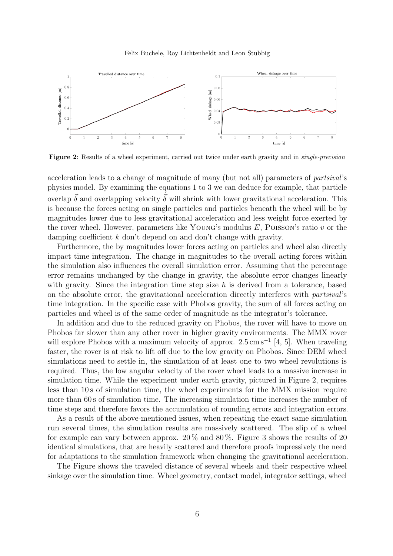

Figure 2: Results of a wheel experiment, carried out twice under earth gravity and in single-precision

acceleration leads to a change of magnitude of many (but not all) parameters of partsival's physics model. By examining the equations 1 to 3 we can deduce for example, that particle overlap  $\vec{\delta}$  and overlapping velocity  $\vec{\delta}$  will shrink with lower gravitational acceleration. This is because the forces acting on single particles and particles beneath the wheel will be by magnitudes lower due to less gravitational acceleration and less weight force exerted by the rover wheel. However, parameters like YOUNG's modulus  $E$ , POISSON's ratio  $v$  or the damping coefficient k don't depend on and don't change with gravity.

Furthermore, the by magnitudes lower forces acting on particles and wheel also directly impact time integration. The change in magnitudes to the overall acting forces within the simulation also influences the overall simulation error. Assuming that the percentage error remains unchanged by the change in gravity, the absolute error changes linearly with gravity. Since the integration time step size  $h$  is derived from a tolerance, based on the absolute error, the gravitational acceleration directly interferes with partsival's time integration. In the specific case with Phobos gravity, the sum of all forces acting on particles and wheel is of the same order of magnitude as the integrator's tolerance.

In addition and due to the reduced gravity on Phobos, the rover will have to move on Phobos far slower than any other rover in higher gravity environments. The MMX rover will explore Phobos with a maximum velocity of approx.  $2.5 \text{ cm s}^{-1}$  [4, 5]. When traveling faster, the rover is at risk to lift off due to the low gravity on Phobos. Since DEM wheel simulations need to settle in, the simulation of at least one to two wheel revolutions is required. Thus, the low angular velocity of the rover wheel leads to a massive increase in simulation time. While the experiment under earth gravity, pictured in Figure 2, requires less than 10 s of simulation time, the wheel experiments for the MMX mission require more than 60 s of simulation time. The increasing simulation time increases the number of time steps and therefore favors the accumulation of rounding errors and integration errors.

As a result of the above-mentioned issues, when repeating the exact same simulation run several times, the simulation results are massively scattered. The slip of a wheel for example can vary between approx.  $20\%$  and  $80\%$ . Figure 3 shows the results of 20 identical simulations, that are heavily scattered and therefore proofs impressively the need for adaptations to the simulation framework when changing the gravitational acceleration.

The Figure shows the traveled distance of several wheels and their respective wheel sinkage over the simulation time. Wheel geometry, contact model, integrator settings, wheel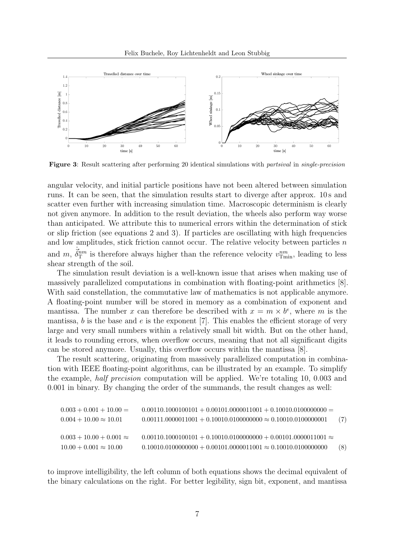

Figure 3: Result scattering after performing 20 identical simulations with partsival in single-precision

angular velocity, and initial particle positions have not been altered between simulation runs. It can be seen, that the simulation results start to diverge after approx. 10 s and scatter even further with increasing simulation time. Macroscopic determinism is clearly not given anymore. In addition to the result deviation, the wheels also perform way worse than anticipated. We attribute this to numerical errors within the determination of stick or slip friction (see equations 2 and 3). If particles are oscillating with high frequencies and low amplitudes, stick friction cannot occur. The relative velocity between particles n and m,  $\dot{\vec{\delta}}_T^{nm}$  is therefore always higher than the reference velocity  $v_{\text{Tmin}}^{nm}$ , leading to less shear strength of the soil.

The simulation result deviation is a well-known issue that arises when making use of massively parallelized computations in combination with floating-point arithmetics [8]. With said constellation, the commutative law of mathematics is not applicable anymore. A floating-point number will be stored in memory as a combination of exponent and mantissa. The number x can therefore be described with  $x = m \times b^e$ , where m is the mantissa, b is the base and  $e$  is the exponent [7]. This enables the efficient storage of very large and very small numbers within a relatively small bit width. But on the other hand, it leads to rounding errors, when overflow occurs, meaning that not all significant digits can be stored anymore. Usually, this overflow occurs within the mantissa [8].

The result scattering, originating from massively parallelized computation in combination with IEEE floating-point algorithms, can be illustrated by an example. To simplify the example, half precision computation will be applied. We're totaling 10, 0.003 and 0.001 in binary. By changing the order of the summands, the result changes as well:

| $0.003 + 0.001 + 10.00 =$       | $0.00110.1000100101 + 0.00101.0000011001 + 0.10010.0100000000 =$       |     |
|---------------------------------|------------------------------------------------------------------------|-----|
| $0.004 + 10.00 \approx 10.01$   | $0.00111.0000011001 + 0.10010.0100000000 \approx 0.10010.0100000001$   | (7) |
|                                 |                                                                        |     |
| $0.003 + 10.00 + 0.001 \approx$ | $0.00110.1000100101 + 0.10010.0100000000 + 0.00101.0000011001 \approx$ |     |
| $10.00 + 0.001 \approx 10.00$   | $0.10010.0100000000 + 0.00101.0000011001 \approx 0.10010.0100000000$   | (8) |

to improve intelligibility, the left column of both equations shows the decimal equivalent of the binary calculations on the right. For better legibility, sign bit, exponent, and mantissa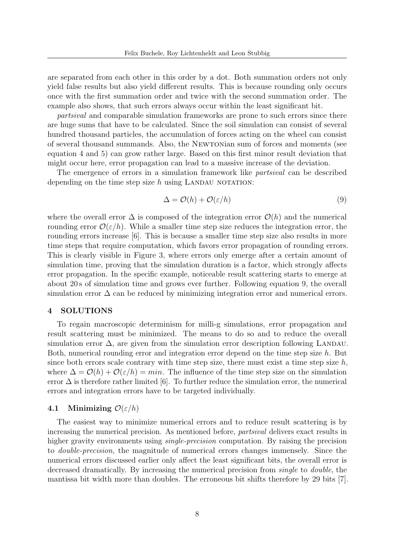are separated from each other in this order by a dot. Both summation orders not only yield false results but also yield different results. This is because rounding only occurs once with the first summation order and twice with the second summation order. The example also shows, that such errors always occur within the least significant bit.

partsival and comparable simulation frameworks are prone to such errors since there are huge sums that have to be calculated. Since the soil simulation can consist of several hundred thousand particles, the accumulation of forces acting on the wheel can consist of several thousand summands. Also, the Newtonian sum of forces and moments (see equation 4 and 5) can grow rather large. Based on this first minor result deviation that might occur here, error propagation can lead to a massive increase of the deviation.

The emergence of errors in a simulation framework like partsival can be described depending on the time step size  $h$  using LANDAU NOTATION:

$$
\Delta = \mathcal{O}(h) + \mathcal{O}(\varepsilon/h) \tag{9}
$$

where the overall error  $\Delta$  is composed of the integration error  $\mathcal{O}(h)$  and the numerical rounding error  $\mathcal{O}(\varepsilon/h)$ . While a smaller time step size reduces the integration error, the rounding errors increase [6]. This is because a smaller time step size also results in more time steps that require computation, which favors error propagation of rounding errors. This is clearly visible in Figure 3, where errors only emerge after a certain amount of simulation time, proving that the simulation duration is a factor, which strongly affects error propagation. In the specific example, noticeable result scattering starts to emerge at about 20 s of simulation time and grows ever further. Following equation 9, the overall simulation error  $\Delta$  can be reduced by minimizing integration error and numerical errors.

## 4 SOLUTIONS

To regain macroscopic determinism for milli-g simulations, error propagation and result scattering must be minimized. The means to do so and to reduce the overall simulation error  $\Delta$ , are given from the simulation error description following LANDAU. Both, numerical rounding error and integration error depend on the time step size h. But since both errors scale contrary with time step size, there must exist a time step size  $h$ , where  $\Delta = \mathcal{O}(h) + \mathcal{O}(\varepsilon/h) = min$ . The influence of the time step size on the simulation error  $\Delta$  is therefore rather limited [6]. To further reduce the simulation error, the numerical errors and integration errors have to be targeted individually.

# 4.1 Minimizing  $\mathcal{O}(\varepsilon/h)$

The easiest way to minimize numerical errors and to reduce result scattering is by increasing the numerical precision. As mentioned before, partsival delivers exact results in higher gravity environments using single-precision computation. By raising the precision to double-precision, the magnitude of numerical errors changes immensely. Since the numerical errors discussed earlier only affect the least significant bits, the overall error is decreased dramatically. By increasing the numerical precision from single to double, the mantissa bit width more than doubles. The erroneous bit shifts therefore by 29 bits [7].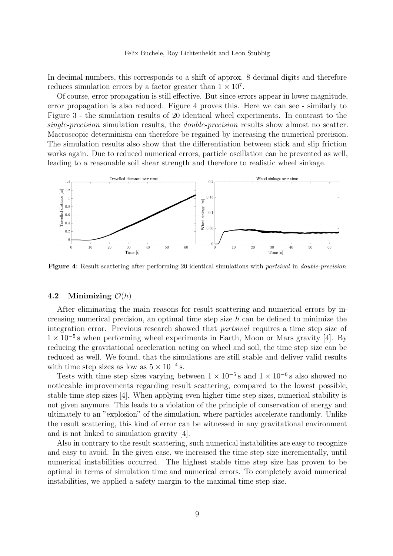In decimal numbers, this corresponds to a shift of approx. 8 decimal digits and therefore reduces simulation errors by a factor greater than  $1 \times 10^7$ .

Of course, error propagation is still effective. But since errors appear in lower magnitude, error propagation is also reduced. Figure 4 proves this. Here we can see - similarly to Figure 3 - the simulation results of 20 identical wheel experiments. In contrast to the single-precision simulation results, the double-precision results show almost no scatter. Macroscopic determinism can therefore be regained by increasing the numerical precision. The simulation results also show that the differentiation between stick and slip friction works again. Due to reduced numerical errors, particle oscillation can be prevented as well, leading to a reasonable soil shear strength and therefore to realistic wheel sinkage.



Figure 4: Result scattering after performing 20 identical simulations with partsival in double-precision

#### 4.2 Minimizing  $\mathcal{O}(h)$

After eliminating the main reasons for result scattering and numerical errors by increasing numerical precision, an optimal time step size  $h$  can be defined to minimize the integration error. Previous research showed that partsival requires a time step size of  $1 \times 10^{-5}$  s when performing wheel experiments in Earth, Moon or Mars gravity [4]. By reducing the gravitational acceleration acting on wheel and soil, the time step size can be reduced as well. We found, that the simulations are still stable and deliver valid results with time step sizes as low as  $5 \times 10^{-4}$  s.

Tests with time step sizes varying between  $1 \times 10^{-5}$  s and  $1 \times 10^{-6}$  s also showed no noticeable improvements regarding result scattering, compared to the lowest possible, stable time step sizes [4]. When applying even higher time step sizes, numerical stability is not given anymore. This leads to a violation of the principle of conservation of energy and ultimately to an "explosion" of the simulation, where particles accelerate randomly. Unlike the result scattering, this kind of error can be witnessed in any gravitational environment and is not linked to simulation gravity [4].

Also in contrary to the result scattering, such numerical instabilities are easy to recognize and easy to avoid. In the given case, we increased the time step size incrementally, until numerical instabilities occurred. The highest stable time step size has proven to be optimal in terms of simulation time and numerical errors. To completely avoid numerical instabilities, we applied a safety margin to the maximal time step size.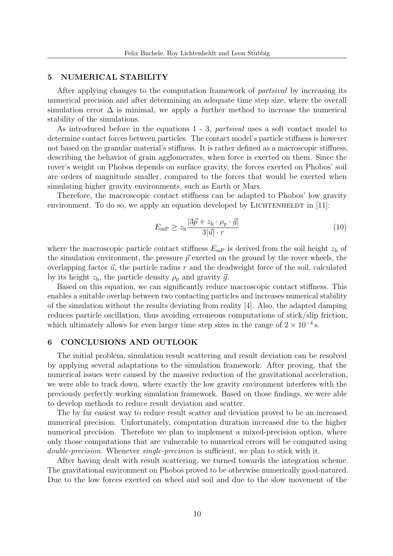#### 5 NUMERICAL STABILITY

After applying changes to the computation framework of partsival by increasing its numerical precision and after determining an adequate time step size, where the overall simulation error  $\Delta$  is minimal, we apply a further method to increase the numerical stability of the simulations.

As introduced before in the equations 1 - 3, partsival uses a soft contact model to determine contact forces between particles. The contact model's particle stiffness is however not based on the granular material's stiffness. It is rather defined as a macroscopic stiffness, describing the behavior of grain agglomerates, when force is exerted on them. Since the rover's weight on Phobos depends on surface gravity, the forces exerted on Phobos' soil are orders of magnitude smaller, compared to the forces that would be exerted when simulating higher gravity environments, such as Earth or Mars.

Therefore, the macroscopic contact stiffness can be adapted to Phobos' low gravity environment. To do so, we apply an equation developed by LICHTENHELDT in  $[11]$ :

$$
E_{\rm mP} \ge z_{\rm h} \frac{|3\vec{p} + z_{\rm h} \cdot \rho_{\rm p} \cdot \vec{g}|}{3|\vec{u}| \cdot r} \tag{10}
$$

where the macroscopic particle contact stiffness  $E_{\text{mp}}$  is derived from the soil height  $z_{\text{h}}$  of the simulation environment, the pressure  $\vec{p}$  exerted on the ground by the rover wheels, the overlapping factor  $\vec{u}$ , the particle radius r and the deadweight force of the soil, calculated by its height  $z_h$ , the particle density  $\rho_p$  and gravity  $\vec{g}$ .

Based on this equation, we can significantly reduce macroscopic contact stiffness. This enables a suitable overlap between two contacting particles and increases numerical stability of the simulation without the results deviating from reality [4]. Also, the adapted damping reduces particle oscillation, thus avoiding erroneous computations of stick/slip friction, which ultimately allows for even larger time step sizes in the range of  $2 \times 10^{-4}$  s.

#### 6 CONCLUSIONS AND OUTLOOK

The initial problem, simulation result scattering and result deviation can be resolved by applying several adaptations to the simulation framework. After proving, that the numerical issues were caused by the massive reduction of the gravitational acceleration, we were able to track down, where exactly the low gravity environment interferes with the previously perfectly working simulation framework. Based on those findings, we were able to develop methods to reduce result deviation and scatter.

The by far easiest way to reduce result scatter and deviation proved to be an increased numerical precision. Unfortunately, computation duration increased due to the higher numerical precision. Therefore we plan to implement a mixed-precision option, where only those computations that are vulnerable to numerical errors will be computed using double-precision. Whenever single-precision is sufficient, we plan to stick with it.

After having dealt with result scattering, we turned towards the integration scheme. The gravitational environment on Phobos proved to be otherwise numerically good-natured. Due to the low forces exerted on wheel and soil and due to the slow movement of the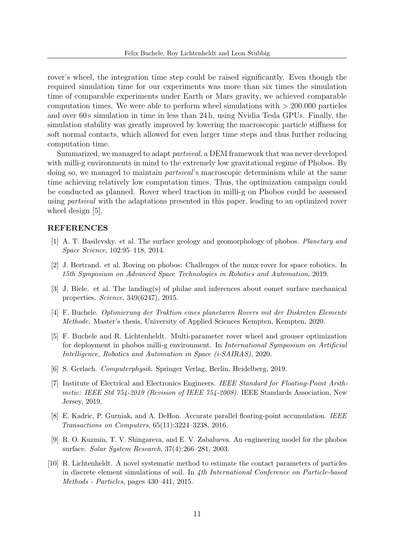rover's wheel, the integration time step could be raised significantly. Even though the required simulation time for our experiments was more than six times the simulation time of comparable experiments under Earth or Mars gravity, we achieved comparable computation times. We were able to perform wheel simulations with  $> 200.000$  particles and over 60 s simulation in time in less than 24 h, using Nvidia Tesla GPUs. Finally, the simulation stability was greatly improved by lowering the macroscopic particle stiffness for soft normal contacts, which allowed for even larger time steps and thus further reducing computation time.

Summarized, we managed to adapt partsival, a DEM framework that was never developed with milli-g environments in mind to the extremely low gravitational regime of Phobos. By doing so, we managed to maintain partsival's macroscopic determinism while at the same time achieving relatively low computation times. Thus, the optimization campaign could be conducted as planned. Rover wheel traction in milli-g on Phobos could be assessed using partsival with the adaptations presented in this paper, leading to an optimized rover wheel design [5].

## REFERENCES

- [1] A. T. Basilevsky. et al. The surface geology and geomorphology of phobos. Planetary and Space Science, 102:95–118, 2014.
- [2] J. Bertrand. et al. Roving on phobos: Challenges of the mmx rover for space robotics. In 15th Symposium on Advanced Space Technologies in Robotics and Automation, 2019.
- [3] J. Biele. et al. The landing(s) of philae and inferences about comet surface mechanical properties. Science, 349(6247), 2015.
- [4] F. Buchele. Optimierung der Traktion eines planetaren Rovers mit der Diskreten Elemente Methode. Master's thesis, University of Applied Sciences Kempten, Kempten, 2020.
- [5] F. Buchele and R. Lichtenheldt. Multi-parameter rover wheel and grouser optimization for deployment in phobos milli-g environment. In International Symposium on Artificial Intelligence, Robotics and Automation in Space (i-SAIRAS), 2020.
- [6] S. Gerlach. Computerphysik. Springer Verlag, Berlin, Heidelberg, 2019.
- [7] Institute of Electrical and Electronics Engineers. IEEE Standard for Floating-Point Arithmetic: IEEE Std 754-2019 (Revision of IEEE 754-2008). IEEE Standards Association, New Jersey, 2019.
- [8] E. Kadric, P. Gurniak, and A. DeHon. Accurate parallel floating-point accumulation. IEEE Transactions on Computers, 65(11):3224–3238, 2016.
- [9] R. O. Kuzmin, T. V. Shingareva, and E. V. Zabalueva. An engineering model for the phobos surface. Solar System Research, 37(4):266–281, 2003.
- [10] R. Lichtenheldt. A novel systematic method to estimate the contact parameters of particles in discrete element simulations of soil. In 4th International Conference on Particle-based Methods - Particles, pages 430–441, 2015.